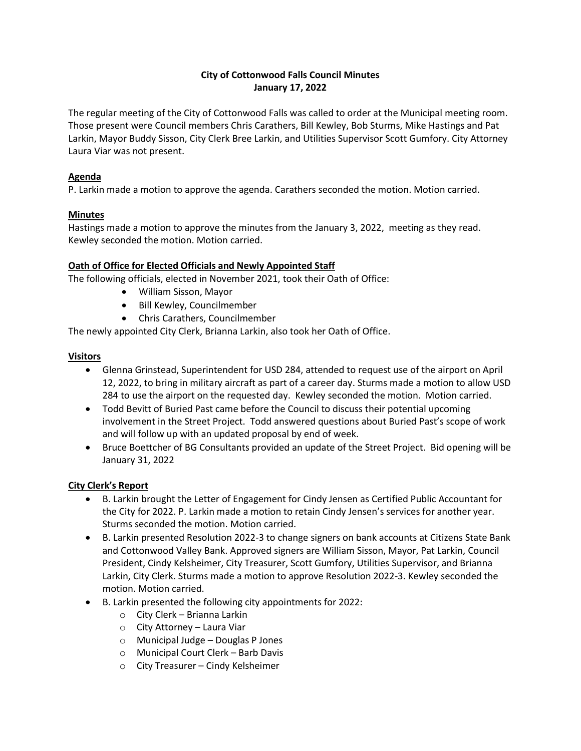# **City of Cottonwood Falls Council Minutes January 17, 2022**

The regular meeting of the City of Cottonwood Falls was called to order at the Municipal meeting room. Those present were Council members Chris Carathers, Bill Kewley, Bob Sturms, Mike Hastings and Pat Larkin, Mayor Buddy Sisson, City Clerk Bree Larkin, and Utilities Supervisor Scott Gumfory. City Attorney Laura Viar was not present.

## **Agenda**

P. Larkin made a motion to approve the agenda. Carathers seconded the motion. Motion carried.

## **Minutes**

Hastings made a motion to approve the minutes from the January 3, 2022, meeting as they read. Kewley seconded the motion. Motion carried.

## **Oath of Office for Elected Officials and Newly Appointed Staff**

The following officials, elected in November 2021, took their Oath of Office:

- William Sisson, Mayor
- Bill Kewley, Councilmember
- Chris Carathers, Councilmember

The newly appointed City Clerk, Brianna Larkin, also took her Oath of Office.

## **Visitors**

- Glenna Grinstead, Superintendent for USD 284, attended to request use of the airport on April 12, 2022, to bring in military aircraft as part of a career day. Sturms made a motion to allow USD 284 to use the airport on the requested day. Kewley seconded the motion. Motion carried.
- Todd Bevitt of Buried Past came before the Council to discuss their potential upcoming involvement in the Street Project. Todd answered questions about Buried Past's scope of work and will follow up with an updated proposal by end of week.
- Bruce Boettcher of BG Consultants provided an update of the Street Project. Bid opening will be January 31, 2022

# **City Clerk's Report**

- B. Larkin brought the Letter of Engagement for Cindy Jensen as Certified Public Accountant for the City for 2022. P. Larkin made a motion to retain Cindy Jensen's services for another year. Sturms seconded the motion. Motion carried.
- B. Larkin presented Resolution 2022-3 to change signers on bank accounts at Citizens State Bank and Cottonwood Valley Bank. Approved signers are William Sisson, Mayor, Pat Larkin, Council President, Cindy Kelsheimer, City Treasurer, Scott Gumfory, Utilities Supervisor, and Brianna Larkin, City Clerk. Sturms made a motion to approve Resolution 2022-3. Kewley seconded the motion. Motion carried.
- B. Larkin presented the following city appointments for 2022:
	- o City Clerk Brianna Larkin
	- o City Attorney Laura Viar
	- o Municipal Judge Douglas P Jones
	- o Municipal Court Clerk Barb Davis
	- o City Treasurer Cindy Kelsheimer